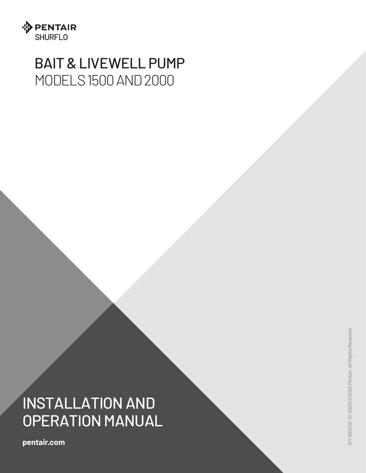

# BAIT & LIVEWELL PUMP MODELS 1500 AND 2000

# INSTALLATION AND OPERATION MANUAL

**pentair.com**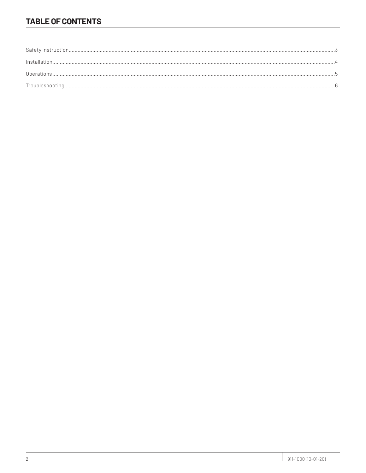## **TABLE OF CONTENTS**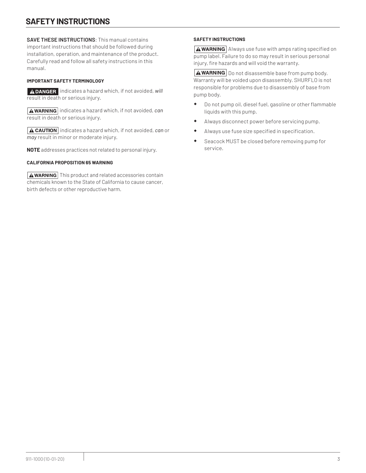## **SAFETY INSTRUCTIONS**

**SAVE THESE INSTRUCTIONS**: This manual contains important instructions that should be followed during installation, operation, and maintenance of the product. Carefully read and follow all safety instructions in this manual.

#### **IMPORTANT SAFETY TERMINOLOGY**

**ADANGER** indicates a hazard which, if not avoided, will result in death or serious injury.

**AWARNING** indicates a hazard which, if not avoided, *can* result in death or serious injury.

**A CAUTION** indicates a hazard which, if not avoided, can or *may* result in minor or moderate injury.

**NOTE** addresses practices not related to personal injury.

#### **CALIFORNIA PROPOSITION 65 WARNING**

**A WARNING** This product and related accessories contain chemicals known to the State of California to cause cancer, birth defects or other reproductive harm.

#### **SAFETY INSTRUCTIONS**

**AWARNING** Always use fuse with amps rating specified on pump label. Failure to do so may result in serious personal injury, fire hazards and will void the warranty.

 $\Delta$  WARNING  $\Box$  Do not disassemble base from pump body. Warranty will be voided upon disassembly. SHURFLO is not responsible for problems due to disassembly of base from pump body.

- Do not pump oil, diesel fuel, gasoline or other flammable liquids with this pump.
- Always disconnect power before servicing pump.
- Always use fuse size specified in specification.
- Seacock MUST be closed before removing pump for service.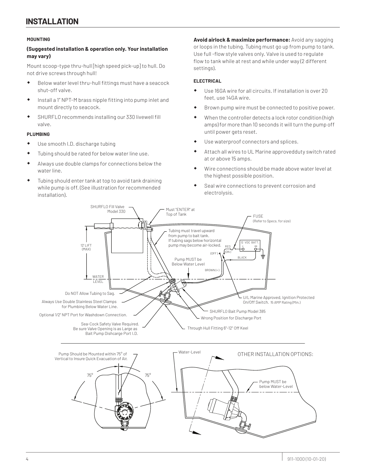#### **MOUNTING**

#### **(Suggested installation & operation only. Your installation may vary)**

Mount scoop-type thru-hull [high speed pick-up] to hull. Do not drive screws through hull!

- Below water level thru-hull fittings must have a seacock shut-off valve.
- Install a 1" NPT-M brass nipple fitting into pump inlet and mount directly to seacock.
- SHURFLO recommends installing our 330 livewell fill valve.

#### **PLUMBING**

- Use smooth I.D. discharge tubing
- Tubing should be rated for below water line use.
- Always use double clamps for connections below the water line.
- Tubing should enter tank at top to avoid tank draining while pump is off. (See illustration for recommended installation).

**Avoid airlock & maximize performance:** Avoid any sagging or loops in the tubing. Tubing must go up from pump to tank. Use full -flow style valves only. Valve is used to regulate flow to tank while at rest and while under way (2 different settings).

#### **ELECTRICAL**

- Use 16GA wire for all circuits. If installation is over 20 feet, use 14GA wire.
- Brown pump wire must be connected to positive power.
- When the controller detects a lock rotor condition (high amps) for more than 10 seconds it will turn the pump off until power gets reset.
- Use waterproof connectors and splices.
- Attach all wires to UL Marine approvedduty switch rated at or above 15 amps.
- Wire connections should be made above water level at the highest possible position.
- Seal wire connections to prevent corrosion and electrolysis.



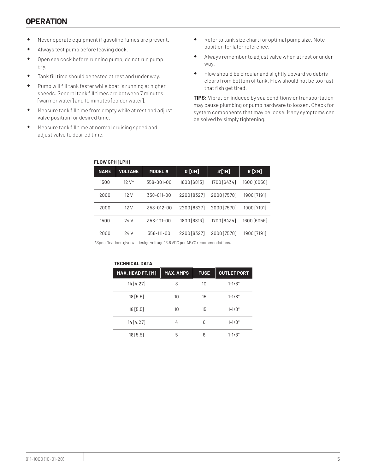### **OPERATION**

- Never operate equipment if gasoline fumes are present.
- Always test pump before leaving dock.
- Open sea cock before running pump, do not run pump dry.
- Tank fill time should be tested at rest and under way.
- Pump will fill tank faster while boat is running at higher speeds. General tank fill times are between 7 minutes [warmer water] and 10 minutes [colder water].
- Measure tank fill time from empty while at rest and adjust valve position for desired time.

**FLOW GPH [LPH]**

 Measure tank fill time at normal cruising speed and adjust valve to desired time.

- Refer to tank size chart for optimal pump size. Note position for later reference.
- Always remember to adjust valve when at rest or under way.
- Flow should be circular and slightly upward so debris clears from bottom of tank. Flow should not be too fast that fish get tired.

**TIPS:** Vibration induced by sea conditions or transportation may cause plumbing or pump hardware to loosen. Check for system components that may be loose. Many symptoms can be solved by simply tightening.

| <b>FLUW GPH LLPHJ</b> |                |            |             |             |             |  |  |
|-----------------------|----------------|------------|-------------|-------------|-------------|--|--|
| <b>NAME</b>           | <b>VOLTAGE</b> | MODEL#     | 0'[OM]      | 3'[1M]      | 6'[2M]      |  |  |
| 1500                  | $12 V^*$       | 358-001-00 | 1800 [6813] | 1700 [6434] | 1600 [6056] |  |  |
| 2000                  | 12 V           | 358-011-00 | 2200 [8327] | 2000 [7570] | 1900 [7191] |  |  |
| 2000                  | 12 V           | 358-012-00 | 2200 [8327] | 2000 [7570] | 1900 [7191] |  |  |
| 1500                  | 24 V           | 358-101-00 | 1800 [6813] | 1700 [6434] | 1600 [6056] |  |  |
| 2000                  | 24 V           | 358-111-00 | 2200 [8327] | 2000 [7570] | 1900 [7191] |  |  |

\*Specifications given at design voltage 13.6 VDC per ABYC recommendations.

| <b>TECHNICAL DATA</b> |                  |             |                    |  |  |  |  |
|-----------------------|------------------|-------------|--------------------|--|--|--|--|
| MAX. HEAD FT. [M]     | <b>MAX. AMPS</b> | <b>FUSE</b> | <b>OUTLET PORT</b> |  |  |  |  |
| 14 [4.27]             | 8                | 10          | $1 - 1/8"$         |  |  |  |  |
| 18[5.5]               | 10               | 15          | $1 - 1/8"$         |  |  |  |  |
| 18[5.5]               | 10               | 15          | $1 - 1/8"$         |  |  |  |  |
| 14 [4.27]             | 4                | հ           | $1 - 1/8"$         |  |  |  |  |
| 18[5.5]               | 5                | հ           | $1 - 1/8"$         |  |  |  |  |

#### 911-1000 (10-01-20) 5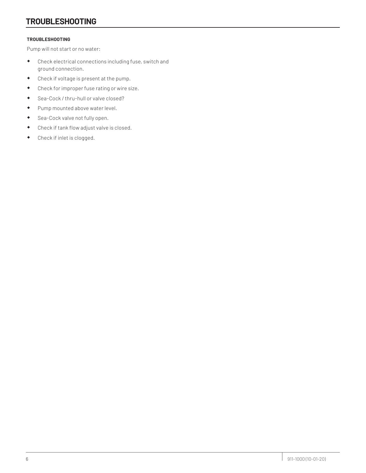## **TROUBLESHOOTING**

#### **TROUBLESHOOTING**

Pump will not start or no water:

- Check electrical connections including fuse, switch and ground connection.
- Check if voltage is present at the pump.
- Check for improper fuse rating or wire size.
- Sea-Cock / thru-hull or valve closed?
- Pump mounted above water level.
- Sea-Cock valve not fully open.
- Check if tank flow adjust valve is closed.
- Check if inlet is clogged.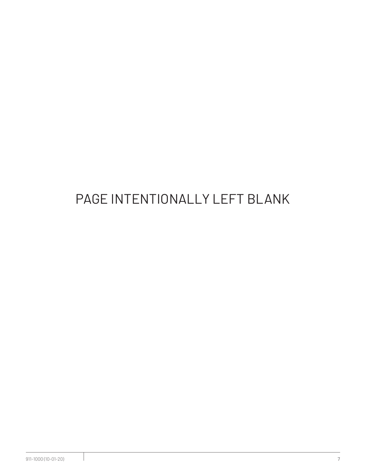## PAGE INTENTIONALLY LEFT BLANK